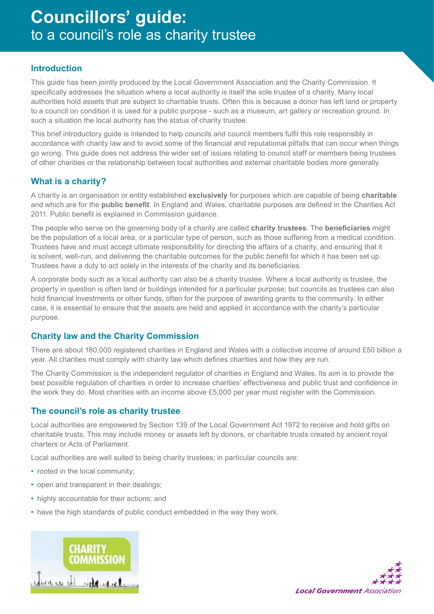# **Councillors' guide:** to a council's role as charity trustee

## **Introduction**

This guide has been jointly produced by the Local Government Association and the Charity Commission. It specifically addresses the situation where a local authority is itself the sole trustee of a charity. Many local authorities hold assets that are subject to charitable trusts. Often this is because a donor has left land or property to a council on condition it is used for a public purpose - such as a museum, art gallery or recreation ground. In such a situation the local authority has the status of charity trustee.

This brief introductory guide is intended to help councils and council members fulfil this role responsibly in accordance with charity law and to avoid some of the financial and reputational pitfalls that can occur when things go wrong. This guide does not address the wider set of issues relating to council staff or members being trustees of other charities or the relationship between local authorities and external charitable bodies more generally.

## **What is a charity?**

A charity is an organisation or entity established **exclusively** for purposes which are capable of being **charitable** and which are for the **public benefit**. In England and Wales, charitable purposes are defined in the Charities Act 2011. Public benefit is explained in Commission guidance.

The people who serve on the governing body of a charity are called **charity trustees**. The **beneficiaries** might be the population of a local area, or a particular type of person, such as those suffering from a medical condition. Trustees have and must accept ultimate responsibility for directing the affairs of a charity, and ensuring that it is solvent, well-run, and delivering the charitable outcomes for the public benefit for which it has been set up. Trustees have a duty to act solely in the interests of the charity and its beneficiaries.

A corporate body such as a local authority can also be a charity trustee. Where a local authority is trustee, the property in question is often land or buildings intended for a particular purpose; but councils as trustees can also hold financial investments or other funds, often for the purpose of awarding grants to the community. In either case, it is essential to ensure that the assets are held and applied in accordance with the charity's particular purpose.

## **Charity law and the Charity Commission**

There are about 180,000 registered charities in England and Wales with a collective income of around £50 billion a year. All charities must comply with charity law which defines charities and how they are run.

The Charity Commission is the independent regulator of charities in England and Wales. Its aim is to provide the best possible regulation of charities in order to increase charities' effectiveness and public trust and confidence in the work they do. Most charities with an income above £5,000 per year must register with the Commission.

## **The council's role as charity trustee**

Local authorities are empowered by Section 139 of the Local Government Act 1972 to receive and hold gifts on charitable trusts. This may include money or assets left by donors, or charitable trusts created by ancient royal charters or Acts of Parliament.

Local authorities are well suited to being charity trustees; in particular councils are:

- **•** rooted in the local community;
- **•** open and transparent in their dealings;
- **•** highly accountable for their actions; and
- **•** have the high standards of public conduct embedded in the way they work.



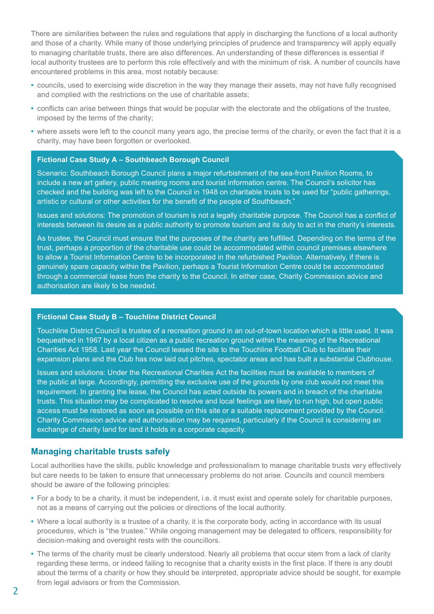There are similarities between the rules and regulations that apply in discharging the functions of a local authority and those of a charity. While many of those underlying principles of prudence and transparency will apply equally to managing charitable trusts, there are also differences. An understanding of these differences is essential if local authority trustees are to perform this role effectively and with the minimum of risk. A number of councils have encountered problems in this area, most notably because:

- **•** councils, used to exercising wide discretion in the way they manage their assets, may not have fully recognised and complied with the restrictions on the use of charitable assets;
- **•** conflicts can arise between things that would be popular with the electorate and the obligations of the trustee, imposed by the terms of the charity;
- **•** where assets were left to the council many years ago, the precise terms of the charity, or even the fact that it is a charity, may have been forgotten or overlooked.

#### **Fictional Case Study A – Southbeach Borough Council**

Scenario: Southbeach Borough Council plans a major refurbishment of the sea-front Pavilion Rooms, to include a new art gallery, public meeting rooms and tourist information centre. The Council's solicitor has checked and the building was left to the Council in 1948 on charitable trusts to be used for "public gatherings, artistic or cultural or other activities for the benefit of the people of Southbeach."

Issues and solutions: The promotion of tourism is not a legally charitable purpose. The Council has a conflict of interests between its desire as a public authority to promote tourism and its duty to act in the charity's interests.

As trustee, the Council must ensure that the purposes of the charity are fulfilled. Depending on the terms of the trust, perhaps a proportion of the charitable use could be accommodated within council premises elsewhere to allow a Tourist Information Centre to be incorporated in the refurbished Pavilion. Alternatively, if there is genuinely spare capacity within the Pavilion, perhaps a Tourist Information Centre could be accommodated through a commercial lease from the charity to the Council. In either case, Charity Commission advice and authorisation are likely to be needed.

#### **Fictional Case Study B – Touchline District Council**

Touchline District Council is trustee of a recreation ground in an out-of-town location which is little used. It was bequeathed in 1967 by a local citizen as a public recreation ground within the meaning of the Recreational Charities Act 1958. Last year the Council leased the site to the Touchline Football Club to facilitate their expansion plans and the Club has now laid out pitches, spectator areas and has built a substantial Clubhouse.

Issues and solutions: Under the Recreational Charities Act the facilities must be available to members of the public at large. Accordingly, permitting the exclusive use of the grounds by one club would not meet this requirement. In granting the lease, the Council has acted outside its powers and in breach of the charitable trusts. This situation may be complicated to resolve and local feelings are likely to run high, but open public access must be restored as soon as possible on this site or a suitable replacement provided by the Council. Charity Commission advice and authorisation may be required, particularly if the Council is considering an exchange of charity land for land it holds in a corporate capacity.

#### **Managing charitable trusts safely**

Local authorities have the skills, public knowledge and professionalism to manage charitable trusts very effectively but care needs to be taken to ensure that unnecessary problems do not arise. Councils and council members should be aware of the following principles:

- **•** For a body to be a charity, it must be independent, i.e. it must exist and operate solely for charitable purposes, not as a means of carrying out the policies or directions of the local authority.
- **•** Where a local authority is a trustee of a charity, it is the corporate body, acting in accordance with its usual procedures, which is "the trustee." While ongoing management may be delegated to officers, responsibility for decision-making and oversight rests with the councillors.
- **•** The terms of the charity must be clearly understood. Nearly all problems that occur stem from a lack of clarity regarding these terms, or indeed failing to recognise that a charity exists in the first place. If there is any doubt about the terms of a charity or how they should be interpreted, appropriate advice should be sought, for example from legal advisors or from the Commission.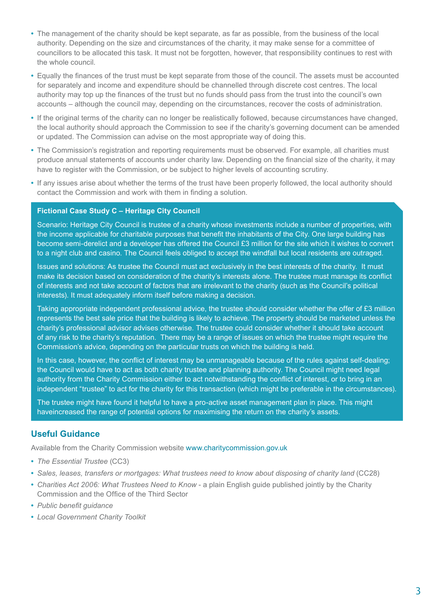- **•** The management of the charity should be kept separate, as far as possible, from the business of the local authority. Depending on the size and circumstances of the charity, it may make sense for a committee of councillors to be allocated this task. It must not be forgotten, however, that responsibility continues to rest with the whole council.
- **•** Equally the finances of the trust must be kept separate from those of the council. The assets must be accounted for separately and income and expenditure should be channelled through discrete cost centres. The local authority may top up the finances of the trust but no funds should pass from the trust into the council's own accounts – although the council may, depending on the circumstances, recover the costs of administration.
- **•** If the original terms of the charity can no longer be realistically followed, because circumstances have changed, the local authority should approach the Commission to see if the charity's governing document can be amended or updated. The Commission can advise on the most appropriate way of doing this.
- **•** The Commission's registration and reporting requirements must be observed. For example, all charities must produce annual statements of accounts under charity law. Depending on the financial size of the charity, it may have to register with the Commission, or be subject to higher levels of accounting scrutiny.
- **•** If any issues arise about whether the terms of the trust have been properly followed, the local authority should contact the Commission and work with them in finding a solution.

#### **Fictional Case Study C – Heritage City Council**

Scenario: Heritage City Council is trustee of a charity whose investments include a number of properties, with the income applicable for charitable purposes that benefit the inhabitants of the City. One large building has become semi-derelict and a developer has offered the Council £3 million for the site which it wishes to convert to a night club and casino. The Council feels obliged to accept the windfall but local residents are outraged.

Issues and solutions: As trustee the Council must act exclusively in the best interests of the charity. It must make its decision based on consideration of the charity's interests alone. The trustee must manage its conflict of interests and not take account of factors that are irrelevant to the charity (such as the Council's political interests). It must adequately inform itself before making a decision.

Taking appropriate independent professional advice, the trustee should consider whether the offer of £3 million represents the best sale price that the building is likely to achieve. The property should be marketed unless the charity's professional advisor advises otherwise. The trustee could consider whether it should take account of any risk to the charity's reputation. There may be a range of issues on which the trustee might require the Commission's advice, depending on the particular trusts on which the building is held.

In this case, however, the conflict of interest may be unmanageable because of the rules against self-dealing; the Council would have to act as both charity trustee and planning authority. The Council might need legal authority from the Charity Commission either to act notwithstanding the conflict of interest, or to bring in an independent "trustee" to act for the charity for this transaction (which might be preferable in the circumstances).

The trustee might have found it helpful to have a pro-active asset management plan in place. This might haveincreased the range of potential options for maximising the return on the charity's assets.

### **Useful Guidance**

Available from the Charity Commission website [www.charitycommission.gov.uk](http://www.charity-commission.gov.uk)

- **•** *[The Essential Trustee](http://www.charitycommission.gov.uk/Publications/cc3.aspx)* (CC3)
- **•** *[Sales, leases, transfers or mortgages: What trustees need to know about disposing of charity land](http://www.charitycommission.gov.uk/Publications/cc28.aspx)* (CC28)
- **•** *Charities Act 2006: What Trustees Need to Know* [a plain English guide published jointly by the Charity](http://webarchive.nationalarchives.gov.uk/20100304041448/http:/www.cabinetoffice.gov.uk/media/cabinetoffice/third_sector/assets/charities_act_interactive.pdf)  [Commission and the Office of the Third Sector](http://webarchive.nationalarchives.gov.uk/20100304041448/http:/www.cabinetoffice.gov.uk/media/cabinetoffice/third_sector/assets/charities_act_interactive.pdf)
- **•** *[Public benefit guidance](http://www.charitycommission.gov.uk/Charity_requirements_guidance/Charity_essentials/Public_benefit/default.aspx)*
- **•** *[Local Government Charity Toolkit](http://www.charitycommission.gov.uk/Charity_requirements_guidance/Specialist_guidance/Local_authorities/default.aspx)*